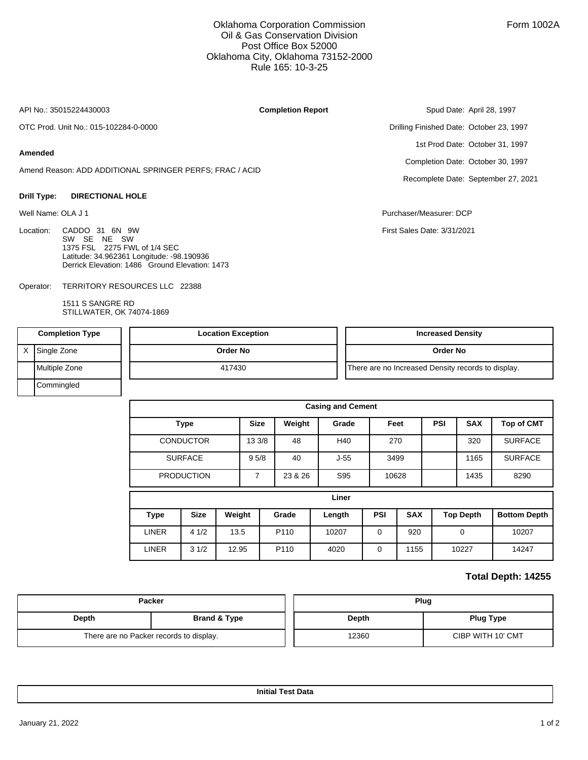### Oklahoma Corporation Commission Oil & Gas Conservation Division Post Office Box 52000 Oklahoma City, Oklahoma 73152-2000 Rule 165: 10-3-25

API No.: 35015224430003

**Completion Report**

OTC Prod. Unit No.: 015-102284-0-0000

#### **Amended**

Amend Reason: ADD ADDITIONAL SPRINGER PERFS; FRAC / ACID

#### **Drill Type: DIRECTIONAL HOLE**

Location: CADDO 31 6N 9W SW SE NE SW 1375 FSL 2275 FWL of 1/4 SEC Latitude: 34.962361 Longitude: -98.190936 Derrick Elevation: 1486 Ground Elevation: 1473

TERRITORY RESOURCES LLC 22388 Operator:

> 1511 S SANGRE RD STILLWATER, OK 74074-1869

Spud Date: April 28, 1997 Drilling Finished Date: October 23, 1997 1st Prod Date: October 31, 1997 Completion Date: October 30, 1997 Recomplete Date: September 27, 2021

Well Name: OLA J 1 Purchaser/Measurer: DCP

First Sales Date: 3/31/2021

| <b>Completion Type</b> |               | <b>Location Exception</b> | <b>Increased Density</b>                           |
|------------------------|---------------|---------------------------|----------------------------------------------------|
|                        | Single Zone   | Order No                  | Order No                                           |
|                        | Multiple Zone | 417430                    | There are no Increased Density records to display. |
|                        | Commingled    |                           |                                                    |

| <b>Casing and Cement</b> |                   |             |        |         |        |             |            |      |                   |                     |  |
|--------------------------|-------------------|-------------|--------|---------|--------|-------------|------------|------|-------------------|---------------------|--|
| <b>Type</b>              |                   | <b>Size</b> | Weight | Grade   | Feet   |             | <b>PSI</b> |      | <b>Top of CMT</b> |                     |  |
|                          | <b>CONDUCTOR</b>  |             | 13 3/8 | 48      | H40    | 270         |            |      | 320               | <b>SURFACE</b>      |  |
|                          | <b>SURFACE</b>    |             | 95/8   | 40      | $J-55$ | 3499        |            | 1165 |                   | <b>SURFACE</b>      |  |
|                          | <b>PRODUCTION</b> |             |        | 23 & 26 | S95    |             | 10628      | 1435 |                   | 8290                |  |
| Liner                    |                   |             |        |         |        |             |            |      |                   |                     |  |
| <b>Type</b>              | <b>Size</b>       | Weight      |        | Grade   | Length | <b>PSI</b>  | <b>SAX</b> |      | <b>Top Depth</b>  | <b>Bottom Depth</b> |  |
| <b>LINER</b>             | 41/2              | 13.5        |        | P110    | 10207  | $\mathbf 0$ | 920        |      | $\mathbf 0$       | 10207               |  |
| <b>LINER</b>             | 31/2              | 12.95       |        | P110    | 4020   | $\mathbf 0$ | 1155       |      | 10227             | 14247               |  |

## **Total Depth: 14255**

| <b>Packer</b>                           |                         | Plug  |                   |  |  |  |
|-----------------------------------------|-------------------------|-------|-------------------|--|--|--|
| Depth                                   | <b>Brand &amp; Type</b> | Depth | <b>Plug Type</b>  |  |  |  |
| There are no Packer records to display. |                         | 12360 | CIBP WITH 10' CMT |  |  |  |